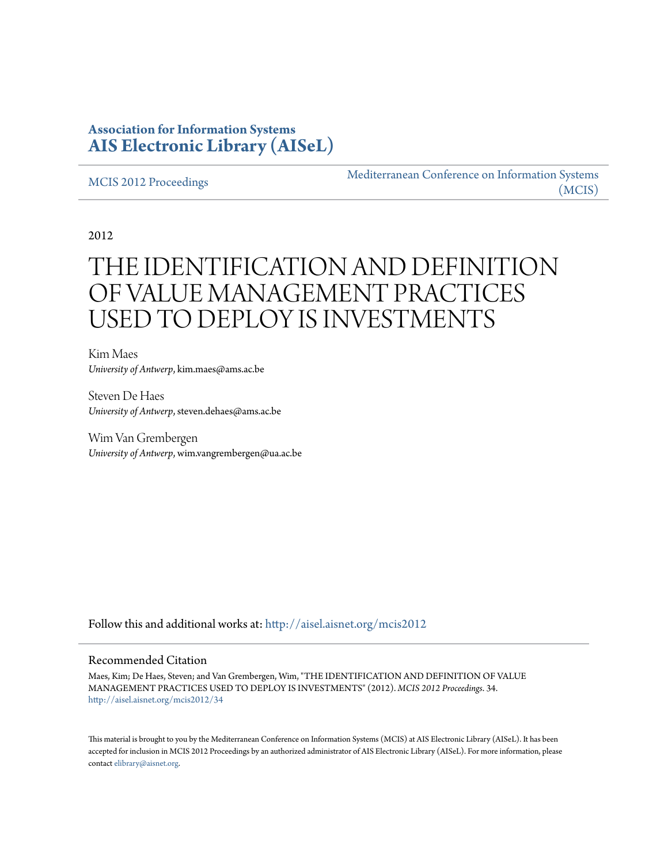# **Association for Information Systems [AIS Electronic Library \(AISeL\)](http://aisel.aisnet.org?utm_source=aisel.aisnet.org%2Fmcis2012%2F34&utm_medium=PDF&utm_campaign=PDFCoverPages)**

#### [MCIS 2012 Proceedings](http://aisel.aisnet.org/mcis2012?utm_source=aisel.aisnet.org%2Fmcis2012%2F34&utm_medium=PDF&utm_campaign=PDFCoverPages)

[Mediterranean Conference on Information Systems](http://aisel.aisnet.org/mcis?utm_source=aisel.aisnet.org%2Fmcis2012%2F34&utm_medium=PDF&utm_campaign=PDFCoverPages) [\(MCIS\)](http://aisel.aisnet.org/mcis?utm_source=aisel.aisnet.org%2Fmcis2012%2F34&utm_medium=PDF&utm_campaign=PDFCoverPages)

2012

# THE IDENTIFICATION AND DEFINITION OF VALUE MANAGEMENT PRACTICES USED TO DEPLOY IS INVESTMENTS

Kim Maes *University of Antwerp*, kim.maes@ams.ac.be

Steven De Haes *University of Antwerp*, steven.dehaes@ams.ac.be

Wim Van Grembergen *University of Antwerp*, wim.vangrembergen@ua.ac.be

Follow this and additional works at: [http://aisel.aisnet.org/mcis2012](http://aisel.aisnet.org/mcis2012?utm_source=aisel.aisnet.org%2Fmcis2012%2F34&utm_medium=PDF&utm_campaign=PDFCoverPages)

#### Recommended Citation

Maes, Kim; De Haes, Steven; and Van Grembergen, Wim, "THE IDENTIFICATION AND DEFINITION OF VALUE MANAGEMENT PRACTICES USED TO DEPLOY IS INVESTMENTS" (2012). *MCIS 2012 Proceedings*. 34. [http://aisel.aisnet.org/mcis2012/34](http://aisel.aisnet.org/mcis2012/34?utm_source=aisel.aisnet.org%2Fmcis2012%2F34&utm_medium=PDF&utm_campaign=PDFCoverPages)

This material is brought to you by the Mediterranean Conference on Information Systems (MCIS) at AIS Electronic Library (AISeL). It has been accepted for inclusion in MCIS 2012 Proceedings by an authorized administrator of AIS Electronic Library (AISeL). For more information, please contact [elibrary@aisnet.org.](mailto:elibrary@aisnet.org%3E)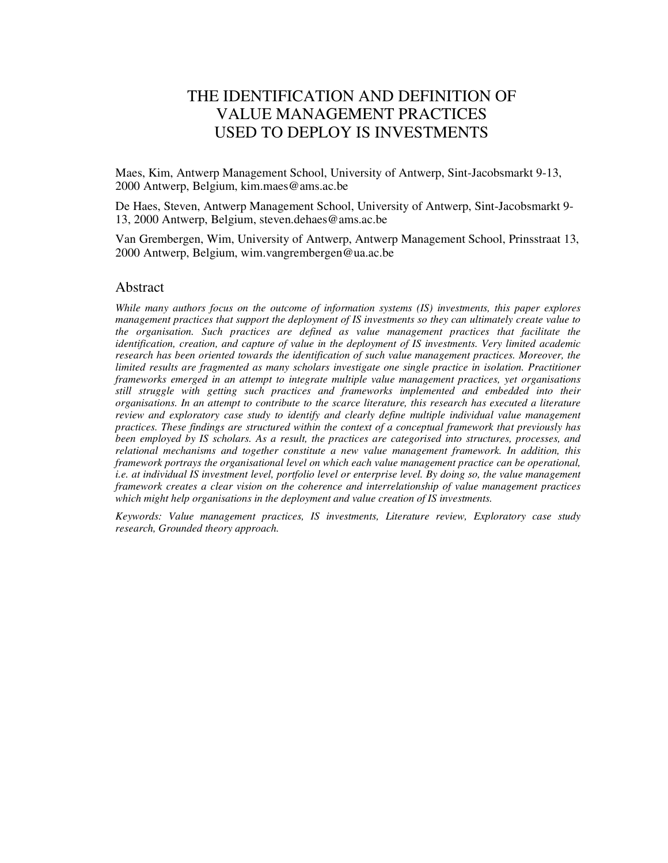# THE IDENTIFICATION AND DEFINITION OF VALUE MANAGEMENT PRACTICES USED TO DEPLOY IS INVESTMENTS

Maes, Kim, Antwerp Management School, University of Antwerp, Sint-Jacobsmarkt 9-13, 2000 Antwerp, Belgium, kim.maes@ams.ac.be

De Haes, Steven, Antwerp Management School, University of Antwerp, Sint-Jacobsmarkt 9- 13, 2000 Antwerp, Belgium, steven.dehaes@ams.ac.be

Van Grembergen, Wim, University of Antwerp, Antwerp Management School, Prinsstraat 13, 2000 Antwerp, Belgium, wim.vangrembergen@ua.ac.be

#### Abstract

*While many authors focus on the outcome of information systems (IS) investments, this paper explores management practices that support the deployment of IS investments so they can ultimately create value to the organisation. Such practices are defined as value management practices that facilitate the identification, creation, and capture of value in the deployment of IS investments. Very limited academic research has been oriented towards the identification of such value management practices. Moreover, the limited results are fragmented as many scholars investigate one single practice in isolation. Practitioner frameworks emerged in an attempt to integrate multiple value management practices, yet organisations still struggle with getting such practices and frameworks implemented and embedded into their organisations. In an attempt to contribute to the scarce literature, this research has executed a literature review and exploratory case study to identify and clearly define multiple individual value management practices. These findings are structured within the context of a conceptual framework that previously has been employed by IS scholars. As a result, the practices are categorised into structures, processes, and relational mechanisms and together constitute a new value management framework. In addition, this framework portrays the organisational level on which each value management practice can be operational, i.e. at individual IS investment level, portfolio level or enterprise level. By doing so, the value management framework creates a clear vision on the coherence and interrelationship of value management practices which might help organisations in the deployment and value creation of IS investments.* 

*Keywords: Value management practices, IS investments, Literature review, Exploratory case study research, Grounded theory approach.*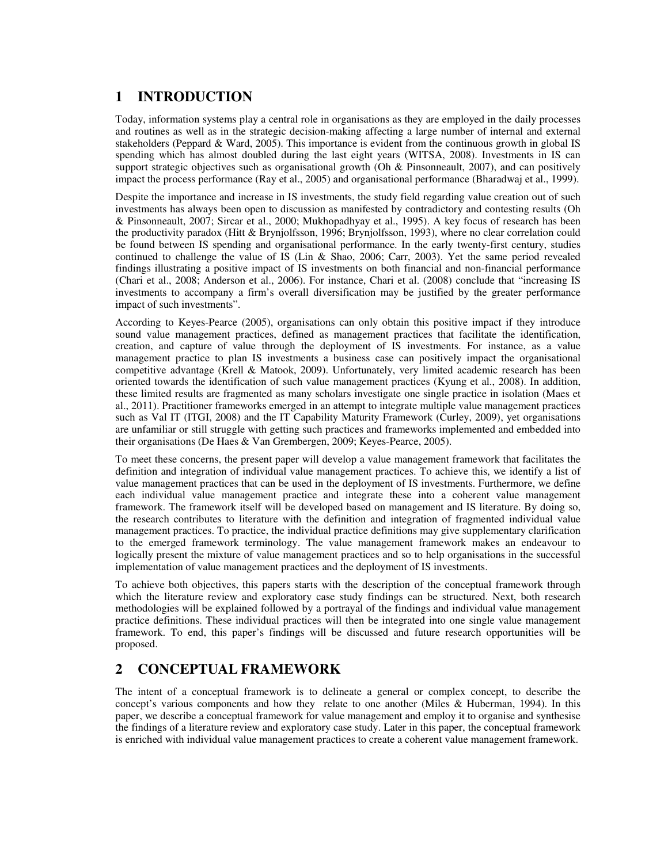## **1 INTRODUCTION**

Today, information systems play a central role in organisations as they are employed in the daily processes and routines as well as in the strategic decision-making affecting a large number of internal and external stakeholders (Peppard & Ward, 2005). This importance is evident from the continuous growth in global IS spending which has almost doubled during the last eight years (WITSA, 2008). Investments in IS can support strategic objectives such as organisational growth (Oh & Pinsonneault, 2007), and can positively impact the process performance (Ray et al., 2005) and organisational performance (Bharadwaj et al., 1999).

Despite the importance and increase in IS investments, the study field regarding value creation out of such investments has always been open to discussion as manifested by contradictory and contesting results (Oh & Pinsonneault, 2007; Sircar et al., 2000; Mukhopadhyay et al., 1995). A key focus of research has been the productivity paradox (Hitt & Brynjolfsson, 1996; Brynjolfsson, 1993), where no clear correlation could be found between IS spending and organisational performance. In the early twenty-first century, studies continued to challenge the value of IS (Lin & Shao, 2006; Carr, 2003). Yet the same period revealed findings illustrating a positive impact of IS investments on both financial and non-financial performance (Chari et al., 2008; Anderson et al., 2006). For instance, Chari et al. (2008) conclude that "increasing IS investments to accompany a firm's overall diversification may be justified by the greater performance impact of such investments".

According to Keyes-Pearce (2005), organisations can only obtain this positive impact if they introduce sound value management practices, defined as management practices that facilitate the identification, creation, and capture of value through the deployment of IS investments. For instance, as a value management practice to plan IS investments a business case can positively impact the organisational competitive advantage (Krell & Matook, 2009). Unfortunately, very limited academic research has been oriented towards the identification of such value management practices (Kyung et al., 2008). In addition, these limited results are fragmented as many scholars investigate one single practice in isolation (Maes et al., 2011). Practitioner frameworks emerged in an attempt to integrate multiple value management practices such as Val IT (ITGI, 2008) and the IT Capability Maturity Framework (Curley, 2009), yet organisations are unfamiliar or still struggle with getting such practices and frameworks implemented and embedded into their organisations (De Haes & Van Grembergen, 2009; Keyes-Pearce, 2005).

To meet these concerns, the present paper will develop a value management framework that facilitates the definition and integration of individual value management practices. To achieve this, we identify a list of value management practices that can be used in the deployment of IS investments. Furthermore, we define each individual value management practice and integrate these into a coherent value management framework. The framework itself will be developed based on management and IS literature. By doing so, the research contributes to literature with the definition and integration of fragmented individual value management practices. To practice, the individual practice definitions may give supplementary clarification to the emerged framework terminology. The value management framework makes an endeavour to logically present the mixture of value management practices and so to help organisations in the successful implementation of value management practices and the deployment of IS investments.

To achieve both objectives, this papers starts with the description of the conceptual framework through which the literature review and exploratory case study findings can be structured. Next, both research methodologies will be explained followed by a portrayal of the findings and individual value management practice definitions. These individual practices will then be integrated into one single value management framework. To end, this paper's findings will be discussed and future research opportunities will be proposed.

## **2 CONCEPTUAL FRAMEWORK**

The intent of a conceptual framework is to delineate a general or complex concept, to describe the concept's various components and how they relate to one another (Miles & Huberman, 1994). In this paper, we describe a conceptual framework for value management and employ it to organise and synthesise the findings of a literature review and exploratory case study. Later in this paper, the conceptual framework is enriched with individual value management practices to create a coherent value management framework.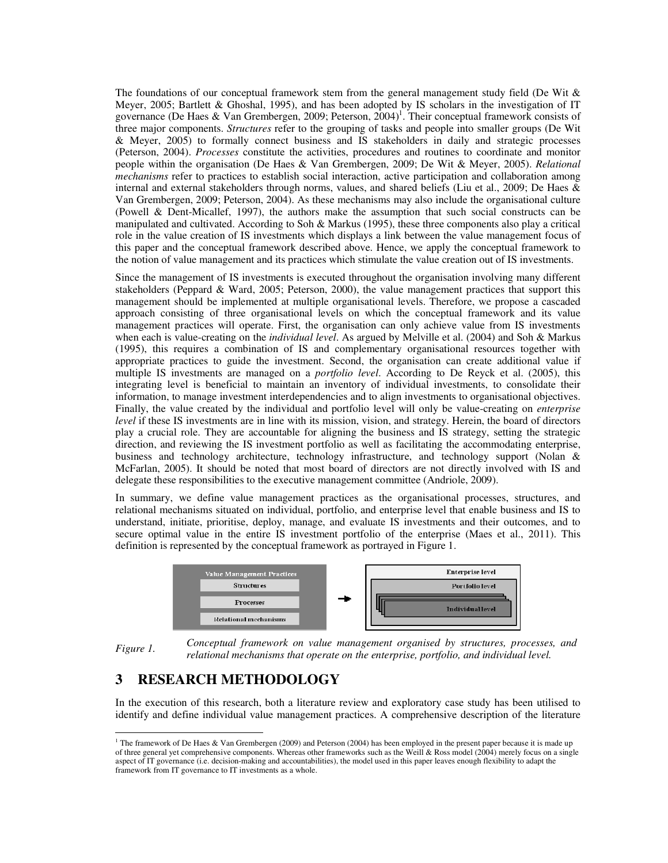The foundations of our conceptual framework stem from the general management study field (De Wit & Meyer, 2005; Bartlett & Ghoshal, 1995), and has been adopted by IS scholars in the investigation of IT governance (De Haes & Van Grembergen, 2009; Peterson, 2004)<sup>1</sup>. Their conceptual framework consists of three major components. *Structures* refer to the grouping of tasks and people into smaller groups (De Wit & Meyer, 2005) to formally connect business and IS stakeholders in daily and strategic processes (Peterson, 2004). *Processes* constitute the activities, procedures and routines to coordinate and monitor people within the organisation (De Haes & Van Grembergen, 2009; De Wit & Meyer, 2005). *Relational mechanisms* refer to practices to establish social interaction, active participation and collaboration among internal and external stakeholders through norms, values, and shared beliefs (Liu et al., 2009; De Haes & Van Grembergen, 2009; Peterson, 2004). As these mechanisms may also include the organisational culture (Powell & Dent-Micallef, 1997), the authors make the assumption that such social constructs can be manipulated and cultivated. According to Soh & Markus (1995), these three components also play a critical role in the value creation of IS investments which displays a link between the value management focus of this paper and the conceptual framework described above. Hence, we apply the conceptual framework to the notion of value management and its practices which stimulate the value creation out of IS investments.

Since the management of IS investments is executed throughout the organisation involving many different stakeholders (Peppard & Ward, 2005; Peterson, 2000), the value management practices that support this management should be implemented at multiple organisational levels. Therefore, we propose a cascaded approach consisting of three organisational levels on which the conceptual framework and its value management practices will operate. First, the organisation can only achieve value from IS investments when each is value-creating on the *individual level*. As argued by Melville et al. (2004) and Soh & Markus (1995), this requires a combination of IS and complementary organisational resources together with appropriate practices to guide the investment. Second, the organisation can create additional value if multiple IS investments are managed on a *portfolio level*. According to De Reyck et al. (2005), this integrating level is beneficial to maintain an inventory of individual investments, to consolidate their information, to manage investment interdependencies and to align investments to organisational objectives. Finally, the value created by the individual and portfolio level will only be value-creating on *enterprise level* if these IS investments are in line with its mission, vision, and strategy. Herein, the board of directors play a crucial role. They are accountable for aligning the business and IS strategy, setting the strategic direction, and reviewing the IS investment portfolio as well as facilitating the accommodating enterprise, business and technology architecture, technology infrastructure, and technology support (Nolan & McFarlan, 2005). It should be noted that most board of directors are not directly involved with IS and delegate these responsibilities to the executive management committee (Andriole, 2009).

In summary, we define value management practices as the organisational processes, structures, and relational mechanisms situated on individual, portfolio, and enterprise level that enable business and IS to understand, initiate, prioritise, deploy, manage, and evaluate IS investments and their outcomes, and to secure optimal value in the entire IS investment portfolio of the enterprise (Maes et al., 2011). This definition is represented by the conceptual framework as portrayed in Figure 1.



*Figure 1. Conceptual framework on value management organised by structures, processes, and relational mechanisms that operate on the enterprise, portfolio, and individual level.* 

## **3 RESEARCH METHODOLOGY**

In the execution of this research, both a literature review and exploratory case study has been utilised to identify and define individual value management practices. A comprehensive description of the literature

 1 The framework of De Haes & Van Grembergen (2009) and Peterson (2004) has been employed in the present paper because it is made up of three general yet comprehensive components. Whereas other frameworks such as the Weill & Ross model (2004) merely focus on a single aspect of IT governance (i.e. decision-making and accountabilities), the model used in this paper leaves enough flexibility to adapt the framework from IT governance to IT investments as a whole.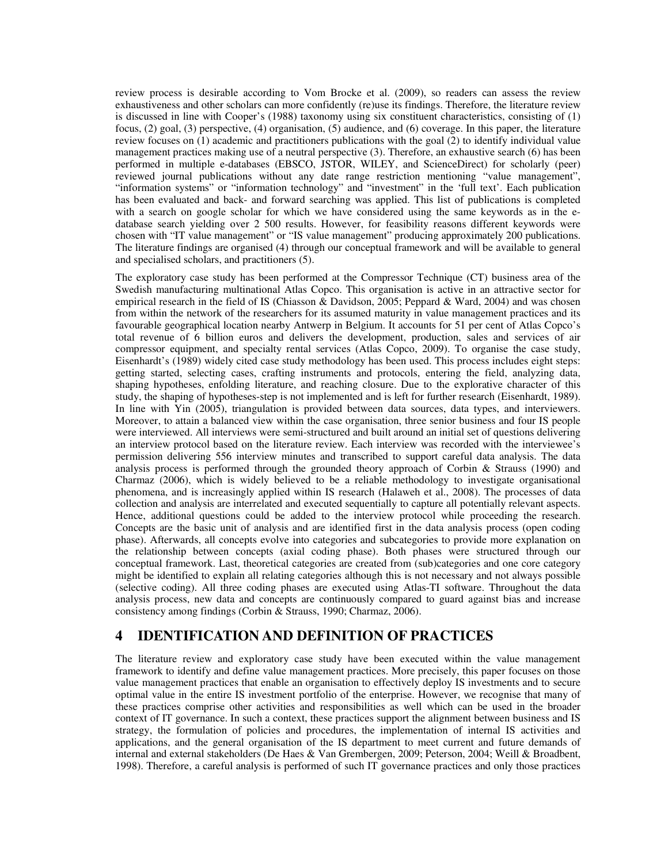review process is desirable according to Vom Brocke et al. (2009), so readers can assess the review exhaustiveness and other scholars can more confidently (re)use its findings. Therefore, the literature review is discussed in line with Cooper's (1988) taxonomy using six constituent characteristics, consisting of (1) focus, (2) goal, (3) perspective, (4) organisation, (5) audience, and (6) coverage. In this paper, the literature review focuses on (1) academic and practitioners publications with the goal (2) to identify individual value management practices making use of a neutral perspective (3). Therefore, an exhaustive search (6) has been performed in multiple e-databases (EBSCO, JSTOR, WILEY, and ScienceDirect) for scholarly (peer) reviewed journal publications without any date range restriction mentioning "value management", "information systems" or "information technology" and "investment" in the 'full text'. Each publication has been evaluated and back- and forward searching was applied. This list of publications is completed with a search on google scholar for which we have considered using the same keywords as in the edatabase search yielding over 2 500 results. However, for feasibility reasons different keywords were chosen with "IT value management" or "IS value management" producing approximately 200 publications. The literature findings are organised (4) through our conceptual framework and will be available to general and specialised scholars, and practitioners (5).

The exploratory case study has been performed at the Compressor Technique (CT) business area of the Swedish manufacturing multinational Atlas Copco. This organisation is active in an attractive sector for empirical research in the field of IS (Chiasson & Davidson, 2005; Peppard & Ward, 2004) and was chosen from within the network of the researchers for its assumed maturity in value management practices and its favourable geographical location nearby Antwerp in Belgium. It accounts for 51 per cent of Atlas Copco's total revenue of 6 billion euros and delivers the development, production, sales and services of air compressor equipment, and specialty rental services (Atlas Copco, 2009). To organise the case study, Eisenhardt's (1989) widely cited case study methodology has been used. This process includes eight steps: getting started, selecting cases, crafting instruments and protocols, entering the field, analyzing data, shaping hypotheses, enfolding literature, and reaching closure. Due to the explorative character of this study, the shaping of hypotheses-step is not implemented and is left for further research (Eisenhardt, 1989). In line with Yin (2005), triangulation is provided between data sources, data types, and interviewers. Moreover, to attain a balanced view within the case organisation, three senior business and four IS people were interviewed. All interviews were semi-structured and built around an initial set of questions delivering an interview protocol based on the literature review. Each interview was recorded with the interviewee's permission delivering 556 interview minutes and transcribed to support careful data analysis. The data analysis process is performed through the grounded theory approach of Corbin & Strauss (1990) and Charmaz (2006), which is widely believed to be a reliable methodology to investigate organisational phenomena, and is increasingly applied within IS research (Halaweh et al., 2008). The processes of data collection and analysis are interrelated and executed sequentially to capture all potentially relevant aspects. Hence, additional questions could be added to the interview protocol while proceeding the research. Concepts are the basic unit of analysis and are identified first in the data analysis process (open coding phase). Afterwards, all concepts evolve into categories and subcategories to provide more explanation on the relationship between concepts (axial coding phase). Both phases were structured through our conceptual framework. Last, theoretical categories are created from (sub)categories and one core category might be identified to explain all relating categories although this is not necessary and not always possible (selective coding). All three coding phases are executed using Atlas-TI software. Throughout the data analysis process, new data and concepts are continuously compared to guard against bias and increase consistency among findings (Corbin & Strauss, 1990; Charmaz, 2006).

## **4 IDENTIFICATION AND DEFINITION OF PRACTICES**

The literature review and exploratory case study have been executed within the value management framework to identify and define value management practices. More precisely, this paper focuses on those value management practices that enable an organisation to effectively deploy IS investments and to secure optimal value in the entire IS investment portfolio of the enterprise. However, we recognise that many of these practices comprise other activities and responsibilities as well which can be used in the broader context of IT governance. In such a context, these practices support the alignment between business and IS strategy, the formulation of policies and procedures, the implementation of internal IS activities and applications, and the general organisation of the IS department to meet current and future demands of internal and external stakeholders (De Haes & Van Grembergen, 2009; Peterson, 2004; Weill & Broadbent, 1998). Therefore, a careful analysis is performed of such IT governance practices and only those practices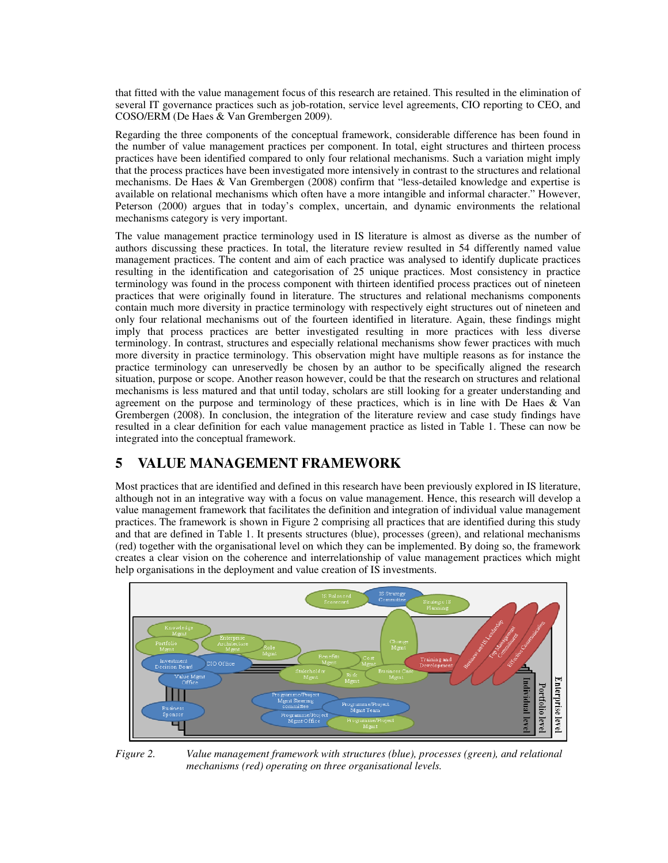that fitted with the value management focus of this research are retained. This resulted in the elimination of several IT governance practices such as job-rotation, service level agreements, CIO reporting to CEO, and COSO/ERM (De Haes & Van Grembergen 2009).

Regarding the three components of the conceptual framework, considerable difference has been found in the number of value management practices per component. In total, eight structures and thirteen process practices have been identified compared to only four relational mechanisms. Such a variation might imply that the process practices have been investigated more intensively in contrast to the structures and relational mechanisms. De Haes & Van Grembergen (2008) confirm that "less-detailed knowledge and expertise is available on relational mechanisms which often have a more intangible and informal character." However, Peterson (2000) argues that in today's complex, uncertain, and dynamic environments the relational mechanisms category is very important.

The value management practice terminology used in IS literature is almost as diverse as the number of authors discussing these practices. In total, the literature review resulted in 54 differently named value management practices. The content and aim of each practice was analysed to identify duplicate practices resulting in the identification and categorisation of 25 unique practices. Most consistency in practice terminology was found in the process component with thirteen identified process practices out of nineteen practices that were originally found in literature. The structures and relational mechanisms components contain much more diversity in practice terminology with respectively eight structures out of nineteen and only four relational mechanisms out of the fourteen identified in literature. Again, these findings might imply that process practices are better investigated resulting in more practices with less diverse terminology. In contrast, structures and especially relational mechanisms show fewer practices with much more diversity in practice terminology. This observation might have multiple reasons as for instance the practice terminology can unreservedly be chosen by an author to be specifically aligned the research situation, purpose or scope. Another reason however, could be that the research on structures and relational mechanisms is less matured and that until today, scholars are still looking for a greater understanding and agreement on the purpose and terminology of these practices, which is in line with De Haes  $\&$  Van Grembergen (2008). In conclusion, the integration of the literature review and case study findings have resulted in a clear definition for each value management practice as listed in Table 1. These can now be integrated into the conceptual framework.

## **5 VALUE MANAGEMENT FRAMEWORK**

Most practices that are identified and defined in this research have been previously explored in IS literature, although not in an integrative way with a focus on value management. Hence, this research will develop a value management framework that facilitates the definition and integration of individual value management practices. The framework is shown in Figure 2 comprising all practices that are identified during this study and that are defined in Table 1. It presents structures (blue), processes (green), and relational mechanisms (red) together with the organisational level on which they can be implemented. By doing so, the framework creates a clear vision on the coherence and interrelationship of value management practices which might help organisations in the deployment and value creation of IS investments.





*Figure 2. Value management framework with structures (blue), processes (green), and relational mechanisms (red) operating on three organisational levels.*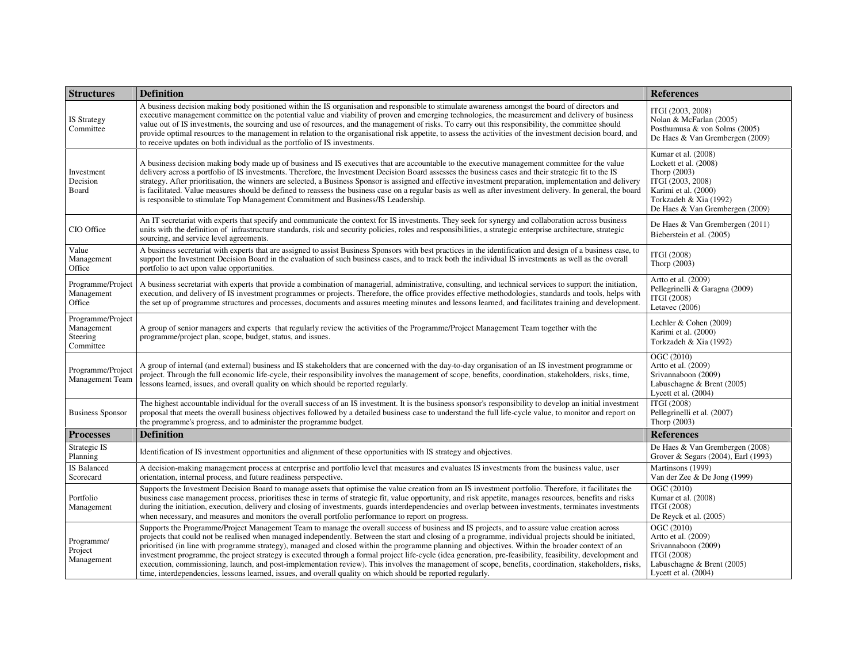| <b>Structures</b>                                        | <b>Definition</b>                                                                                                                                                                                                                                                                                                                                                                                                                                                                                                                                                                                                                                                                                                                                                                                                                                                                                   | <b>References</b>                                                                                                                                                      |
|----------------------------------------------------------|-----------------------------------------------------------------------------------------------------------------------------------------------------------------------------------------------------------------------------------------------------------------------------------------------------------------------------------------------------------------------------------------------------------------------------------------------------------------------------------------------------------------------------------------------------------------------------------------------------------------------------------------------------------------------------------------------------------------------------------------------------------------------------------------------------------------------------------------------------------------------------------------------------|------------------------------------------------------------------------------------------------------------------------------------------------------------------------|
| <b>IS Strategy</b><br>Committee                          | A business decision making body positioned within the IS organisation and responsible to stimulate awareness amongst the board of directors and<br>executive management committee on the potential value and viability of proven and emerging technologies, the measurement and delivery of business<br>value out of IS investments, the sourcing and use of resources, and the management of risks. To carry out this responsibility, the committee should<br>provide optimal resources to the management in relation to the organisational risk appetite, to assess the activities of the investment decision board, and<br>to receive updates on both individual as the portfolio of IS investments.                                                                                                                                                                                             | ITGI (2003, 2008)<br>Nolan & McFarlan (2005)<br>Posthumusa & von Solms (2005)<br>De Haes & Van Grembergen (2009)                                                       |
| Investment<br>Decision<br>Board                          | A business decision making body made up of business and IS executives that are accountable to the executive management committee for the value<br>delivery across a portfolio of IS investments. Therefore, the Investment Decision Board assesses the business cases and their strategic fit to the IS<br>strategy. After prioritisation, the winners are selected, a Business Sponsor is assigned and effective investment preparation, implementation and delivery<br>is facilitated. Value measures should be defined to reassess the business case on a regular basis as well as after investment delivery. In general, the board<br>is responsible to stimulate Top Management Commitment and Business/IS Leadership.                                                                                                                                                                         | Kumar et al. (2008)<br>Lockett et al. (2008)<br>Thorp (2003)<br>ITGI (2003, 2008)<br>Karimi et al. (2000)<br>Torkzadeh & Xia (1992)<br>De Haes & Van Grembergen (2009) |
| CIO Office                                               | An IT secretariat with experts that specify and communicate the context for IS investments. They seek for synergy and collaboration across business<br>units with the definition of infrastructure standards, risk and security policies, roles and responsibilities, a strategic enterprise architecture, strategic<br>sourcing, and service level agreements.                                                                                                                                                                                                                                                                                                                                                                                                                                                                                                                                     | De Haes & Van Grembergen (2011)<br>Bieberstein et al. (2005)                                                                                                           |
| Value<br>Management<br>Office                            | A business secretariat with experts that are assigned to assist Business Sponsors with best practices in the identification and design of a business case, to<br>support the Investment Decision Board in the evaluation of such business cases, and to track both the individual IS investments as well as the overall<br>portfolio to act upon value opportunities.                                                                                                                                                                                                                                                                                                                                                                                                                                                                                                                               | <b>ITGI</b> (2008)<br>Thorp (2003)                                                                                                                                     |
| Programme/Project<br>Management<br>Office                | A business secretariat with experts that provide a combination of managerial, administrative, consulting, and technical services to support the initiation,<br>execution, and delivery of IS investment programmes or projects. Therefore, the office provides effective methodologies, standards and tools, helps with<br>the set up of programme structures and processes, documents and assures meeting minutes and lessons learned, and facilitates training and development.                                                                                                                                                                                                                                                                                                                                                                                                                   | Artto et al. (2009)<br>Pellegrinelli & Garagna (2009)<br>ITGI (2008)<br>Letavec (2006)                                                                                 |
| Programme/Project<br>Management<br>Steering<br>Committee | A group of senior managers and experts that regularly review the activities of the Programme/Project Management Team together with the<br>programme/project plan, scope, budget, status, and issues.                                                                                                                                                                                                                                                                                                                                                                                                                                                                                                                                                                                                                                                                                                | Lechler & Cohen (2009)<br>Karimi et al. (2000)<br>Torkzadeh & Xia (1992)                                                                                               |
| Programme/Project<br>Management Team                     | A group of internal (and external) business and IS stakeholders that are concerned with the day-to-day organisation of an IS investment programme or<br>project. Through the full economic life-cycle, their responsibility involves the management of scope, benefits, coordination, stakeholders, risks, time,<br>lessons learned, issues, and overall quality on which should be reported regularly.                                                                                                                                                                                                                                                                                                                                                                                                                                                                                             | OGC (2010)<br>Artto et al. (2009)<br>Srivannaboon (2009)<br>Labuschagne & Brent (2005)<br>Lycett et al. (2004)                                                         |
| <b>Business Sponsor</b>                                  | The highest accountable individual for the overall success of an IS investment. It is the business sponsor's responsibility to develop an initial investment<br>proposal that meets the overall business objectives followed by a detailed business case to understand the full life-cycle value, to monitor and report on<br>the programme's progress, and to administer the programme budget.                                                                                                                                                                                                                                                                                                                                                                                                                                                                                                     | ITGI (2008)<br>Pellegrinelli et al. (2007)<br>Thorp (2003)                                                                                                             |
| <b>Processes</b>                                         | <b>Definition</b>                                                                                                                                                                                                                                                                                                                                                                                                                                                                                                                                                                                                                                                                                                                                                                                                                                                                                   | <b>References</b>                                                                                                                                                      |
| Strategic IS<br>Planning                                 | Identification of IS investment opportunities and alignment of these opportunities with IS strategy and objectives.                                                                                                                                                                                                                                                                                                                                                                                                                                                                                                                                                                                                                                                                                                                                                                                 | De Haes & Van Grembergen (2008)<br>Grover & Segars (2004), Earl (1993)                                                                                                 |
| IS Balanced<br>Scorecard                                 | A decision-making management process at enterprise and portfolio level that measures and evaluates IS investments from the business value, user<br>orientation, internal process, and future readiness perspective.                                                                                                                                                                                                                                                                                                                                                                                                                                                                                                                                                                                                                                                                                 | Martinsons (1999)<br>Van der Zee & De Jong (1999)                                                                                                                      |
| Portfolio<br>Management                                  | Supports the Investment Decision Board to manage assets that optimise the value creation from an IS investment portfolio. Therefore, it facilitates the<br>business case management process, prioritises these in terms of strategic fit, value opportunity, and risk appetite, manages resources, benefits and risks<br>during the initiation, execution, delivery and closing of investments, guards interdependencies and overlap between investments, terminates investments<br>when necessary, and measures and monitors the overall portfolio performance to report on progress.                                                                                                                                                                                                                                                                                                              | OGC (2010)<br>Kumar et al. (2008)<br>ITGI (2008)<br>De Reyck et al. (2005)                                                                                             |
| Programme/<br>Project<br>Management                      | Supports the Programme/Project Management Team to manage the overall success of business and IS projects, and to assure value creation across<br>projects that could not be realised when managed independently. Between the start and closing of a programme, individual projects should be initiated,<br>prioritised (in line with programme strategy), managed and closed within the programme planning and objectives. Within the broader context of an<br>investment programme, the project strategy is executed through a formal project life-cycle (idea generation, pre-feasibility, feasibility, development and<br>execution, commissioning, launch, and post-implementation review). This involves the management of scope, benefits, coordination, stakeholders, risks,<br>time, interdependencies, lessons learned, issues, and overall quality on which should be reported regularly. | OGC (2010)<br>Artto et al. (2009)<br>Srivannaboon (2009)<br>ITGI (2008)<br>Labuschagne & Brent (2005)<br>Lycett et al. $(2004)$                                        |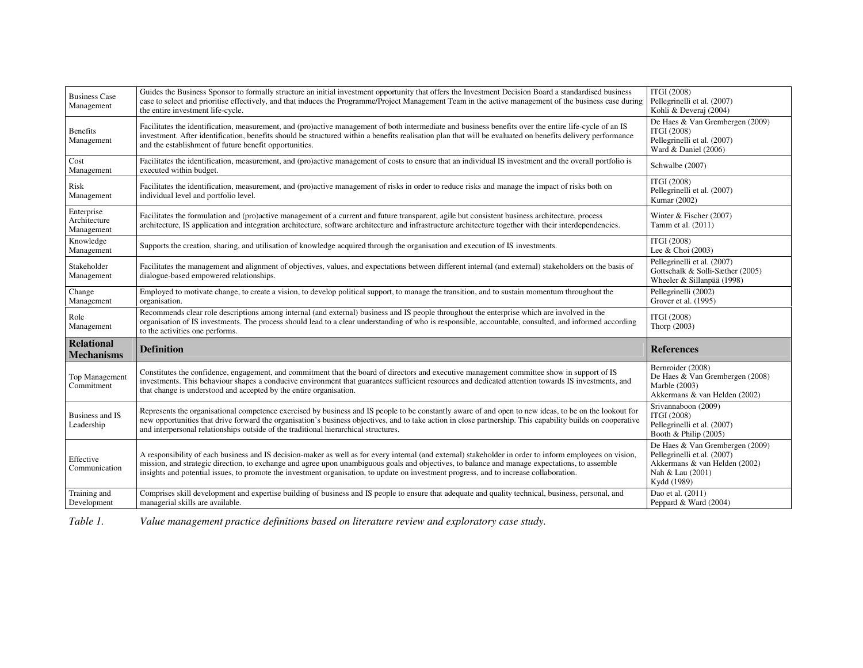| <b>Business Case</b><br>Management       | Guides the Business Sponsor to formally structure an initial investment opportunity that offers the Investment Decision Board a standardised business<br>case to select and prioritise effectively, and that induces the Programme/Project Management Team in the active management of the business case during<br>the entire investment life-cycle.                                                                                                  | <b>ITGI (2008)</b><br>Pellegrinelli et al. (2007)<br>Kohli & Deveraj (2004)                                                        |
|------------------------------------------|-------------------------------------------------------------------------------------------------------------------------------------------------------------------------------------------------------------------------------------------------------------------------------------------------------------------------------------------------------------------------------------------------------------------------------------------------------|------------------------------------------------------------------------------------------------------------------------------------|
| <b>Benefits</b><br>Management            | Facilitates the identification, measurement, and (pro)active management of both intermediate and business benefits over the entire life-cycle of an IS<br>investment. After identification, benefits should be structured within a benefits realisation plan that will be evaluated on benefits delivery performance<br>and the establishment of future benefit opportunities.                                                                        | De Haes & Van Grembergen (2009)<br>ITGI (2008)<br>Pellegrinelli et al. (2007)<br>Ward & Daniel (2006)                              |
| Cost<br>Management                       | Facilitates the identification, measurement, and (pro)active management of costs to ensure that an individual IS investment and the overall portfolio is<br>executed within budget.                                                                                                                                                                                                                                                                   | Schwalbe (2007)                                                                                                                    |
| Risk<br>Management                       | Facilitates the identification, measurement, and (pro)active management of risks in order to reduce risks and manage the impact of risks both on<br>individual level and portfolio level.                                                                                                                                                                                                                                                             | ITGI (2008)<br>Pellegrinelli et al. (2007)<br>Kumar (2002)                                                                         |
| Enterprise<br>Architecture<br>Management | Facilitates the formulation and (pro)active management of a current and future transparent, agile but consistent business architecture, process<br>architecture, IS application and integration architecture, software architecture and infrastructure architecture together with their interdependencies.                                                                                                                                            | Winter & Fischer (2007)<br>Tamm et al. (2011)                                                                                      |
| Knowledge<br>Management                  | Supports the creation, sharing, and utilisation of knowledge acquired through the organisation and execution of IS investments.                                                                                                                                                                                                                                                                                                                       | ITGI (2008)<br>Lee & Choi (2003)                                                                                                   |
| Stakeholder<br>Management                | Facilitates the management and alignment of objectives, values, and expectations between different internal (and external) stakeholders on the basis of<br>dialogue-based empowered relationships.                                                                                                                                                                                                                                                    | Pellegrinelli et al. (2007)<br>Gottschalk & Solli-Sæther (2005)<br>Wheeler & Sillanpää (1998)                                      |
| Change<br>Management                     | Employed to motivate change, to create a vision, to develop political support, to manage the transition, and to sustain momentum throughout the<br>organisation.                                                                                                                                                                                                                                                                                      | Pellegrinelli (2002)<br>Grover et al. (1995)                                                                                       |
| Role<br>Management                       | Recommends clear role descriptions among internal (and external) business and IS people throughout the enterprise which are involved in the<br>organisation of IS investments. The process should lead to a clear understanding of who is responsible, accountable, consulted, and informed according<br>to the activities one performs.                                                                                                              | ITGI (2008)<br>Thorp (2003)                                                                                                        |
| <b>Relational</b><br><b>Mechanisms</b>   | <b>Definition</b>                                                                                                                                                                                                                                                                                                                                                                                                                                     | <b>References</b>                                                                                                                  |
| Top Management<br>Commitment             | Constitutes the confidence, engagement, and commitment that the board of directors and executive management committee show in support of IS<br>investments. This behaviour shapes a conducive environment that guarantees sufficient resources and dedicated attention towards IS investments, and<br>that change is understood and accepted by the entire organisation.                                                                              | Bernroider (2008)<br>De Haes & Van Grembergen (2008)<br>Marble (2003)<br>Akkermans & van Helden (2002)                             |
| Business and IS<br>Leadership            | Represents the organisational competence exercised by business and IS people to be constantly aware of and open to new ideas, to be on the lookout for<br>new opportunities that drive forward the organisation's business objectives, and to take action in close partnership. This capability builds on cooperative<br>and interpersonal relationships outside of the traditional hierarchical structures.                                          | Srivannaboon (2009)<br>ITGI (2008)<br>Pellegrinelli et al. (2007)<br>Booth & Philip (2005)                                         |
| Effective<br>Communication               | A responsibility of each business and IS decision-maker as well as for every internal (and external) stakeholder in order to inform employees on vision.<br>mission, and strategic direction, to exchange and agree upon unambiguous goals and objectives, to balance and manage expectations, to assemble<br>insights and potential issues, to promote the investment organisation, to update on investment progress, and to increase collaboration. | De Haes & Van Grembergen (2009)<br>Pellegrinelli et.al. (2007)<br>Akkermans & van Helden (2002)<br>Nah & Lau (2001)<br>Kydd (1989) |
| Training and<br>Development              | Comprises skill development and expertise building of business and IS people to ensure that adequate and quality technical, business, personal, and<br>managerial skills are available.                                                                                                                                                                                                                                                               | Dao et al. (2011)<br>Peppard & Ward (2004)                                                                                         |

*Table 1. Value management practice definitions based on literature review and exploratory case study.*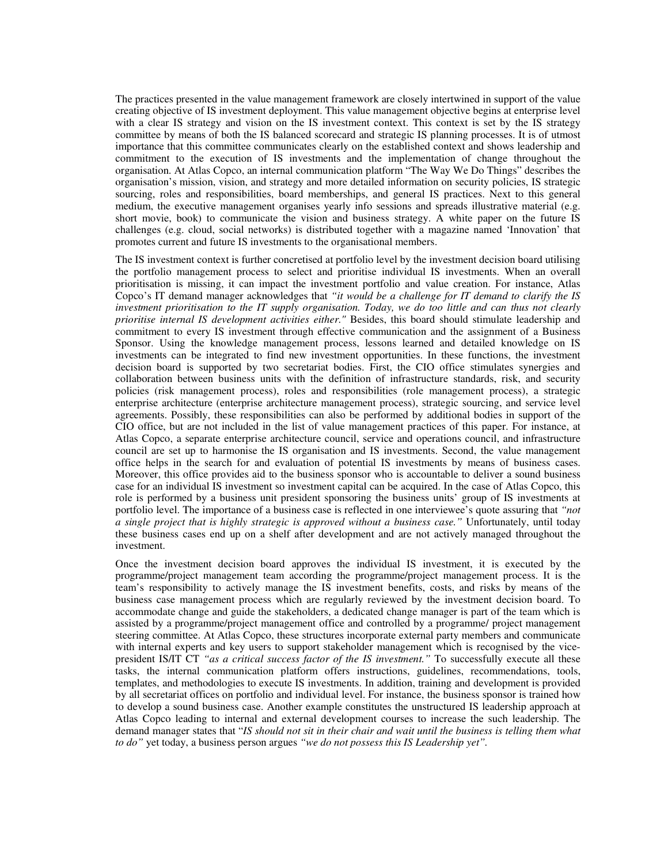The practices presented in the value management framework are closely intertwined in support of the value creating objective of IS investment deployment. This value management objective begins at enterprise level with a clear IS strategy and vision on the IS investment context. This context is set by the IS strategy committee by means of both the IS balanced scorecard and strategic IS planning processes. It is of utmost importance that this committee communicates clearly on the established context and shows leadership and commitment to the execution of IS investments and the implementation of change throughout the organisation. At Atlas Copco, an internal communication platform "The Way We Do Things" describes the organisation's mission, vision, and strategy and more detailed information on security policies, IS strategic sourcing, roles and responsibilities, board memberships, and general IS practices. Next to this general medium, the executive management organises yearly info sessions and spreads illustrative material (e.g. short movie, book) to communicate the vision and business strategy. A white paper on the future IS challenges (e.g. cloud, social networks) is distributed together with a magazine named 'Innovation' that promotes current and future IS investments to the organisational members.

The IS investment context is further concretised at portfolio level by the investment decision board utilising the portfolio management process to select and prioritise individual IS investments. When an overall prioritisation is missing, it can impact the investment portfolio and value creation. For instance, Atlas Copco's IT demand manager acknowledges that *"it would be a challenge for IT demand to clarify the IS investment prioritisation to the IT supply organisation. Today, we do too little and can thus not clearly prioritise internal IS development activities either."* Besides, this board should stimulate leadership and commitment to every IS investment through effective communication and the assignment of a Business Sponsor. Using the knowledge management process, lessons learned and detailed knowledge on IS investments can be integrated to find new investment opportunities. In these functions, the investment decision board is supported by two secretariat bodies. First, the CIO office stimulates synergies and collaboration between business units with the definition of infrastructure standards, risk, and security policies (risk management process), roles and responsibilities (role management process), a strategic enterprise architecture (enterprise architecture management process), strategic sourcing, and service level agreements. Possibly, these responsibilities can also be performed by additional bodies in support of the CIO office, but are not included in the list of value management practices of this paper. For instance, at Atlas Copco, a separate enterprise architecture council, service and operations council, and infrastructure council are set up to harmonise the IS organisation and IS investments. Second, the value management office helps in the search for and evaluation of potential IS investments by means of business cases. Moreover, this office provides aid to the business sponsor who is accountable to deliver a sound business case for an individual IS investment so investment capital can be acquired. In the case of Atlas Copco, this role is performed by a business unit president sponsoring the business units' group of IS investments at portfolio level. The importance of a business case is reflected in one interviewee's quote assuring that *"not a single project that is highly strategic is approved without a business case."* Unfortunately, until today these business cases end up on a shelf after development and are not actively managed throughout the investment.

Once the investment decision board approves the individual IS investment, it is executed by the programme/project management team according the programme/project management process. It is the team's responsibility to actively manage the IS investment benefits, costs, and risks by means of the business case management process which are regularly reviewed by the investment decision board. To accommodate change and guide the stakeholders, a dedicated change manager is part of the team which is assisted by a programme/project management office and controlled by a programme/ project management steering committee. At Atlas Copco, these structures incorporate external party members and communicate with internal experts and key users to support stakeholder management which is recognised by the vicepresident IS/IT CT *"as a critical success factor of the IS investment."* To successfully execute all these tasks, the internal communication platform offers instructions, guidelines, recommendations, tools, templates, and methodologies to execute IS investments. In addition, training and development is provided by all secretariat offices on portfolio and individual level. For instance, the business sponsor is trained how to develop a sound business case. Another example constitutes the unstructured IS leadership approach at Atlas Copco leading to internal and external development courses to increase the such leadership. The demand manager states that "*IS should not sit in their chair and wait until the business is telling them what to do"* yet today, a business person argues *"we do not possess this IS Leadership yet".*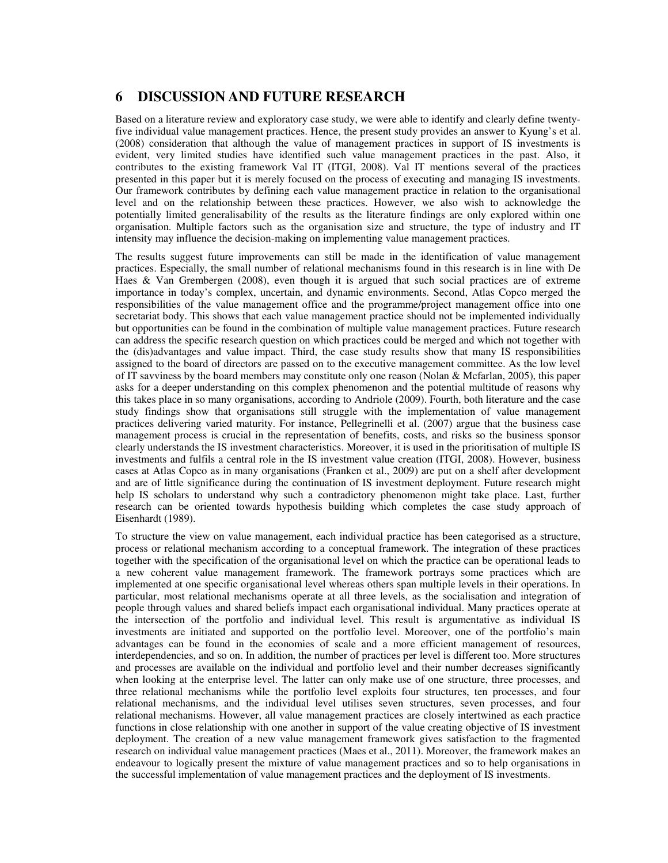### **6 DISCUSSION AND FUTURE RESEARCH**

Based on a literature review and exploratory case study, we were able to identify and clearly define twentyfive individual value management practices. Hence, the present study provides an answer to Kyung's et al. (2008) consideration that although the value of management practices in support of IS investments is evident, very limited studies have identified such value management practices in the past. Also, it contributes to the existing framework Val IT (ITGI, 2008). Val IT mentions several of the practices presented in this paper but it is merely focused on the process of executing and managing IS investments. Our framework contributes by defining each value management practice in relation to the organisational level and on the relationship between these practices. However, we also wish to acknowledge the potentially limited generalisability of the results as the literature findings are only explored within one organisation. Multiple factors such as the organisation size and structure, the type of industry and IT intensity may influence the decision-making on implementing value management practices.

The results suggest future improvements can still be made in the identification of value management practices. Especially, the small number of relational mechanisms found in this research is in line with De Haes & Van Grembergen (2008), even though it is argued that such social practices are of extreme importance in today's complex, uncertain, and dynamic environments. Second, Atlas Copco merged the responsibilities of the value management office and the programme/project management office into one secretariat body. This shows that each value management practice should not be implemented individually but opportunities can be found in the combination of multiple value management practices. Future research can address the specific research question on which practices could be merged and which not together with the (dis)advantages and value impact. Third, the case study results show that many IS responsibilities assigned to the board of directors are passed on to the executive management committee. As the low level of IT savviness by the board members may constitute only one reason (Nolan & Mcfarlan, 2005), this paper asks for a deeper understanding on this complex phenomenon and the potential multitude of reasons why this takes place in so many organisations, according to Andriole (2009). Fourth, both literature and the case study findings show that organisations still struggle with the implementation of value management practices delivering varied maturity. For instance, Pellegrinelli et al. (2007) argue that the business case management process is crucial in the representation of benefits, costs, and risks so the business sponsor clearly understands the IS investment characteristics. Moreover, it is used in the prioritisation of multiple IS investments and fulfils a central role in the IS investment value creation (ITGI, 2008). However, business cases at Atlas Copco as in many organisations (Franken et al., 2009) are put on a shelf after development and are of little significance during the continuation of IS investment deployment. Future research might help IS scholars to understand why such a contradictory phenomenon might take place. Last, further research can be oriented towards hypothesis building which completes the case study approach of Eisenhardt (1989).

To structure the view on value management, each individual practice has been categorised as a structure, process or relational mechanism according to a conceptual framework. The integration of these practices together with the specification of the organisational level on which the practice can be operational leads to a new coherent value management framework. The framework portrays some practices which are implemented at one specific organisational level whereas others span multiple levels in their operations. In particular, most relational mechanisms operate at all three levels, as the socialisation and integration of people through values and shared beliefs impact each organisational individual. Many practices operate at the intersection of the portfolio and individual level. This result is argumentative as individual IS investments are initiated and supported on the portfolio level. Moreover, one of the portfolio's main advantages can be found in the economies of scale and a more efficient management of resources, interdependencies, and so on. In addition, the number of practices per level is different too. More structures and processes are available on the individual and portfolio level and their number decreases significantly when looking at the enterprise level. The latter can only make use of one structure, three processes, and three relational mechanisms while the portfolio level exploits four structures, ten processes, and four relational mechanisms, and the individual level utilises seven structures, seven processes, and four relational mechanisms. However, all value management practices are closely intertwined as each practice functions in close relationship with one another in support of the value creating objective of IS investment deployment. The creation of a new value management framework gives satisfaction to the fragmented research on individual value management practices (Maes et al., 2011). Moreover, the framework makes an endeavour to logically present the mixture of value management practices and so to help organisations in the successful implementation of value management practices and the deployment of IS investments.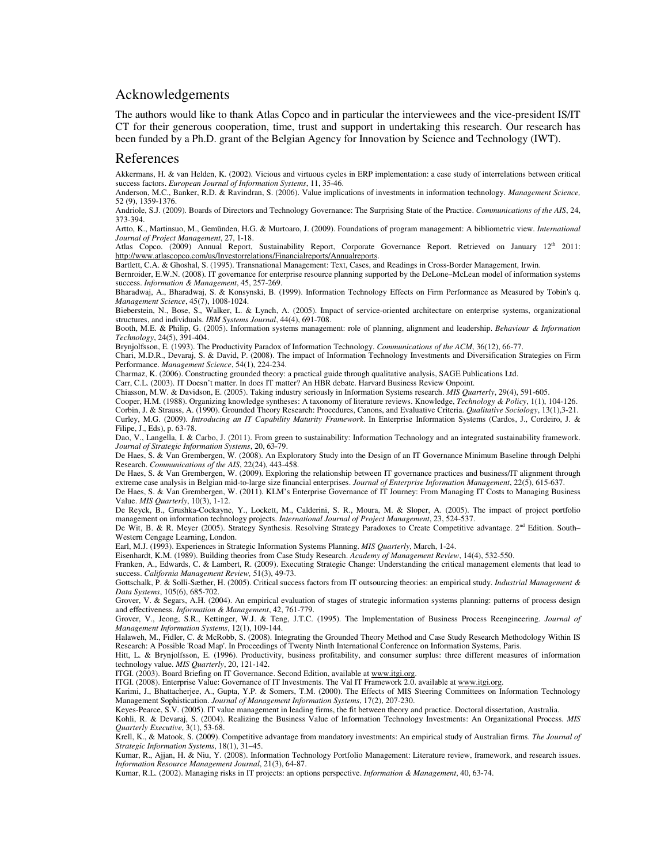#### Acknowledgements

The authors would like to thank Atlas Copco and in particular the interviewees and the vice-president IS/IT CT for their generous cooperation, time, trust and support in undertaking this research. Our research has been funded by a Ph.D. grant of the Belgian Agency for Innovation by Science and Technology (IWT).

#### References

Akkermans, H. & van Helden, K. (2002). Vicious and virtuous cycles in ERP implementation: a case study of interrelations between critical success factors. *European Journal of Information Systems*, 11, 35-46.

Anderson, M.C., Banker, R.D. & Ravindran, S. (2006). Value implications of investments in information technology. *Management Science,* 52 (9), 1359-1376.

Andriole, S.J. (2009). Boards of Directors and Technology Governance: The Surprising State of the Practice. *Communications of the AIS*, 24, 373-394.

Artto, K., Martinsuo, M., Gemünden, H.G. & Murtoaro, J. (2009). Foundations of program management: A bibliometric view. *International Journal of Project Management*, 27, 1-18.

Atlas Copco. (2009) Annual Report, Sustainability Report, Corporate Governance Report. Retrieved on January 12<sup>th</sup> 2011: http://www.atlascopco.com/us/Investorrelations/Financialreports/Annualreports.

Bartlett, C.A. & Ghoshal, S. (1995). Transnational Management: Text, Cases, and Readings in Cross-Border Management, Irwin.

Bernroider, E.W.N. (2008). IT governance for enterprise resource planning supported by the DeLone–McLean model of information systems success. *Information & Management*, 45, 257-269.

Bharadwaj, A., Bharadwaj, S. & Konsynski, B. (1999). Information Technology Effects on Firm Performance as Measured by Tobin's q. *Management Science*, 45(7), 1008-1024.

Bieberstein, N., Bose, S., Walker, L. & Lynch, A. (2005). Impact of service-oriented architecture on enterprise systems, organizational structures, and individuals. *IBM Systems Journal*, 44(4), 691-708.

Booth, M.E. & Philip, G. (2005). Information systems management: role of planning, alignment and leadership. *Behaviour & Information Technology*, 24(5), 391-404.

Brynjolfsson, E. (1993). The Productivity Paradox of Information Technology. *Communications of the ACM*, 36(12), 66-77.

Chari, M.D.R., Devaraj, S. & David, P. (2008). The impact of Information Technology Investments and Diversification Strategies on Firm Performance. *Management Science*, 54(1), 224-234.

Charmaz, K. (2006). Constructing grounded theory: a practical guide through qualitative analysis, SAGE Publications Ltd.

Carr, C.L. (2003). IT Doesn't matter. In does IT matter? An HBR debate. Harvard Business Review Onpoint.

Chiasson, M.W. & Davidson, E. (2005). Taking industry seriously in Information Systems research. *MIS Quarterly*, 29(4), 591-605.

Cooper, H.M. (1988). Organizing knowledge syntheses: A taxonomy of literature reviews. Knowledge, *Technology & Policy*, 1(1), 104-126.

Corbin, J. & Strauss, A. (1990). Grounded Theory Research: Procedures, Canons, and Evaluative Criteria. *Qualitative Sociology*, 13(1),3-21. Curley, M.G. (2009). *Introducing an IT Capability Maturity Framework*. In Enterprise Information Systems (Cardos, J., Cordeiro, J. & Filipe, J., Eds), p. 63-78.

Dao, V., Langella, I. & Carbo, J. (2011). From green to sustainability: Information Technology and an integrated sustainability framework. *Journal of Strategic Information Systems*, 20, 63-79.

De Haes, S. & Van Grembergen, W. (2008). An Exploratory Study into the Design of an IT Governance Minimum Baseline through Delphi Research. *Communications of the AIS*, 22(24), 443-458.

De Haes, S. & Van Grembergen, W. (2009). Exploring the relationship between IT governance practices and business/IT alignment through extreme case analysis in Belgian mid-to-large size financial enterprises. *Journal of Enterprise Information Management*, 22(5), 615-637.

De Haes, S. & Van Grembergen, W. (2011). KLM's Enterprise Governance of IT Journey: From Managing IT Costs to Managing Business Value. *MIS Quarterly*, 10(3), 1-12.

De Reyck, B., Grushka-Cockayne, Y., Lockett, M., Calderini, S. R., Moura, M. & Sloper, A. (2005). The impact of project portfolio management on information technology projects. *International Journal of Project Management*, 23, 524-537.

De Wit, B. & R. Meyer (2005). Strategy Synthesis. Resolving Strategy Paradoxes to Create Competitive advantage. 2<sup>nd</sup> Edition. South– Western Cengage Learning, London.

Earl, M.J. (1993). Experiences in Strategic Information Systems Planning. *MIS Quarterly*, March, 1-24.

Eisenhardt, K.M. (1989). Building theories from Case Study Research. *Academy of Management Review*, 14(4), 532-550.

Franken, A., Edwards, C. & Lambert, R. (2009). Executing Strategic Change: Understanding the critical management elements that lead to success. *California Management Review,* 51(3), 49-73.

Gottschalk, P. & Solli-Sæther, H. (2005). Critical success factors from IT outsourcing theories: an empirical study. *Industrial Management & Data Systems*, 105(6), 685-702.

Grover, V. & Segars, A.H. (2004). An empirical evaluation of stages of strategic information systems planning: patterns of process design and effectiveness. *Information & Management*, 42, 761-779.

Grover, V., Jeong, S.R., Kettinger, W.J. & Teng, J.T.C. (1995). The Implementation of Business Process Reengineering. *Journal of Management Information Systems*, 12(1), 109-144.

Halaweh, M., Fidler, C. & McRobb, S. (2008). Integrating the Grounded Theory Method and Case Study Research Methodology Within IS Research: A Possible 'Road Map'. In Proceedings of Twenty Ninth International Conference on Information Systems, Paris.

Hitt, L. & Brynjolfsson, E. (1996). Productivity, business profitability, and consumer surplus: three different measures of information technology value. *MIS Quarterly*, 20, 121-142.

ITGI. (2003). Board Briefing on IT Governance. Second Edition, available at www.itgi.org.

ITGI. (2008). Enterprise Value: Governance of IT Investments. The Val IT Framework 2.0. available at www.itgi.org.

Karimi, J., Bhattacherjee, A., Gupta, Y.P. & Somers, T.M. (2000). The Effects of MIS Steering Committees on Information Technology Management Sophistication. *Journal of Management Information Systems*, 17(2), 207-230.

Keyes-Pearce, S.V. (2005). IT value management in leading firms, the fit between theory and practice. Doctoral dissertation, Australia.

Kohli, R. & Devaraj, S. (2004). Realizing the Business Value of Information Technology Investments: An Organizational Process. *MIS Quarterly Executive*, 3(1), 53-68.

Krell, K., & Matook, S. (2009). Competitive advantage from mandatory investments: An empirical study of Australian firms. *The Journal of Strategic Information Systems*, 18(1), 31–45.

Kumar, R., Ajjan, H. & Niu, Y. (2008). Information Technology Portfolio Management: Literature review, framework, and research issues. *Information Resource Management Journal*, 21(3), 64-87.

Kumar, R.L. (2002). Managing risks in IT projects: an options perspective. *Information & Management*, 40, 63-74.